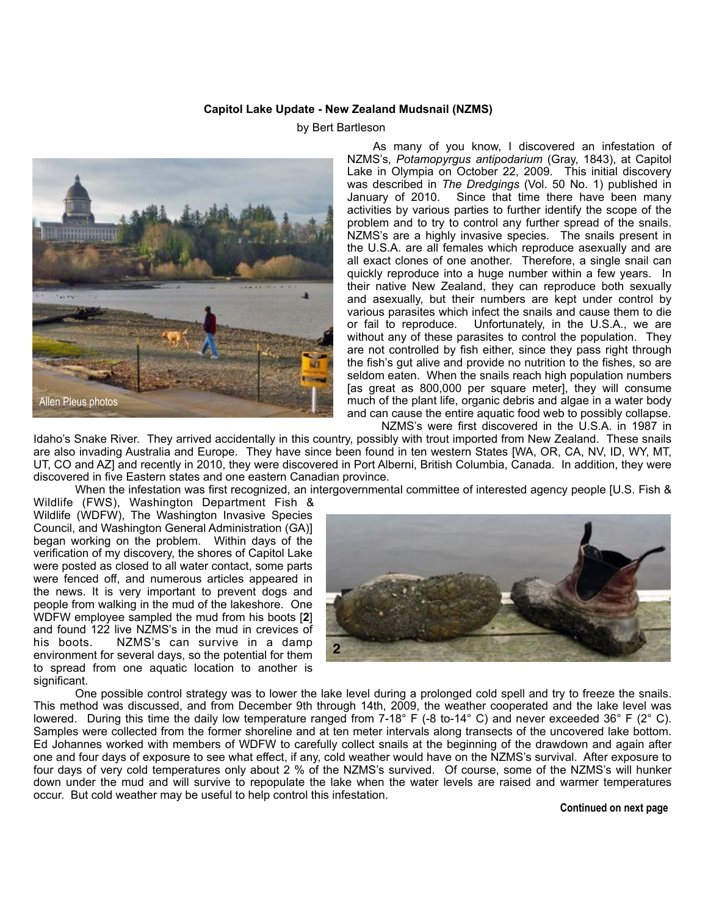## **Capitol Lake Update - New Zealand Mudsnail (NZMS)**

## by Bert Bartleson



 As many of you know, I discovered an infestation of NZMS's, *Potamopyrgus antipodarium* (Gray, 1843), at Capitol Lake in Olympia on October 22, 2009. This initial discovery was described in *The Dredgings* (Vol. 50 No. 1) published in January of 2010. Since that time there have been many activities by various parties to further identify the scope of the problem and to try to control any further spread of the snails. NZMS's are a highly invasive species. The snails present in the U.S.A. are all females which reproduce asexually and are all exact clones of one another. Therefore, a single snail can quickly reproduce into a huge number within a few years. In their native New Zealand, they can reproduce both sexually and asexually, but their numbers are kept under control by various parasites which infect the snails and cause them to die or fail to reproduce. Unfortunately, in the U.S.A., we are without any of these parasites to control the population. They are not controlled by fish either, since they pass right through the fish's gut alive and provide no nutrition to the fishes, so are seldom eaten. When the snails reach high population numbers [as great as 800,000 per square meter], they will consume much of the plant life, organic debris and algae in a water body and can cause the entire aquatic food web to possibly collapse.

 NZMS's were first discovered in the U.S.A. in 1987 in Idaho's Snake River. They arrived accidentally in this country, possibly with trout imported from New Zealand. These snails are also invading Australia and Europe. They have since been found in ten western States [WA, OR, CA, NV, ID, WY, MT, UT, CO and AZ] and recently in 2010, they were discovered in Port Alberni, British Columbia, Canada. In addition, they were discovered in five Eastern states and one eastern Canadian province.

When the infestation was first recognized, an intergovernmental committee of interested agency people [U.S. Fish &

Wildlife (FWS), Washington Department Fish & Wildlife (WDFW), The Washington Invasive Species Council, and Washington General Administration (GA)] began working on the problem. Within days of the verification of my discovery, the shores of Capitol Lake were posted as closed to all water contact, some parts were fenced off, and numerous articles appeared in the news. It is very important to prevent dogs and people from walking in the mud of the lakeshore. One WDFW employee sampled the mud from his boots [**2**] and found 122 live NZMS's in the mud in crevices of NZMS's can survive in a damp environment for several days, so the potential for them to spread from one aquatic location to another is significant.



 One possible control strategy was to lower the lake level during a prolonged cold spell and try to freeze the snails. This method was discussed, and from December 9th through 14th, 2009, the weather cooperated and the lake level was lowered. During this time the daily low temperature ranged from 7-18° F (-8 to-14° C) and never exceeded 36° F (2° C). Samples were collected from the former shoreline and at ten meter intervals along transects of the uncovered lake bottom. Ed Johannes worked with members of WDFW to carefully collect snails at the beginning of the drawdown and again after one and four days of exposure to see what effect, if any, cold weather would have on the NZMS's survival. After exposure to four days of very cold temperatures only about 2 % of the NZMS's survived. Of course, some of the NZMS's will hunker down under the mud and will survive to repopulate the lake when the water levels are raised and warmer temperatures occur. But cold weather may be useful to help control this infestation.

## **Continued on next page**